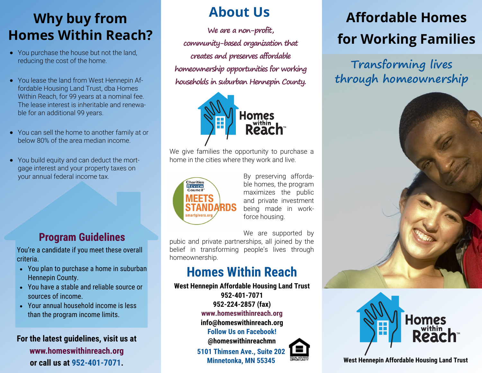# **Why buy from Homes Within Reach?**

- You purchase the house but not the land, reducing the cost of the home.
- You lease the land from West Hennepin Affordable Housing Land Trust, dba Homes Within Reach, for 99 years at a nominal fee. The lease interest is inheritable and renewable for an additional 99 years.
- You can sell the home to another family at or below 80% of the area median income.
- You build equity and can deduct the mortgage interest and your property taxes on your annual federal income tax.

#### **Program Guidelines**

You're a candidate if you meet these overall criteria.

- You plan to purchase a home in suburban Hennepin County.
- You have a stable and reliable source or sources of income.
- Your annual household income is less than the program income limits.

#### **For the latest guidelines, visit us at www.homeswithinreach.org or call us at 952-401-7071.**

## **About Us**

**We are a non-profit, community-based organization that creates and preserves affordable homeownership opportunities for working households in suburban Hennepin County.** 



We give families the opportunity to purchase a home in the cities where they work and live.



By preserving affordable homes, the program maximizes the public and private investment being made in workforce housing.

We are supported by

pubic and private partnerships, all joined by the belief in transforming people's lives through homeownership.

### **Homes Within Reach**

**West Hennepin Affordable Housing Land Trust 952-401-7071 952-224-2857 (fax) www.homeswithinreach.org info@homeswithinreach.org Follow Us on Facebook! @homeswithinreachmn**

**5101 Thimsen Ave., Suite 202 Minnetonka, MN 55345**

# **Affordable Homes for Working Families**

**Transforming lives through homeownership** 





**West Hennepin Affordable Housing Land Trust**